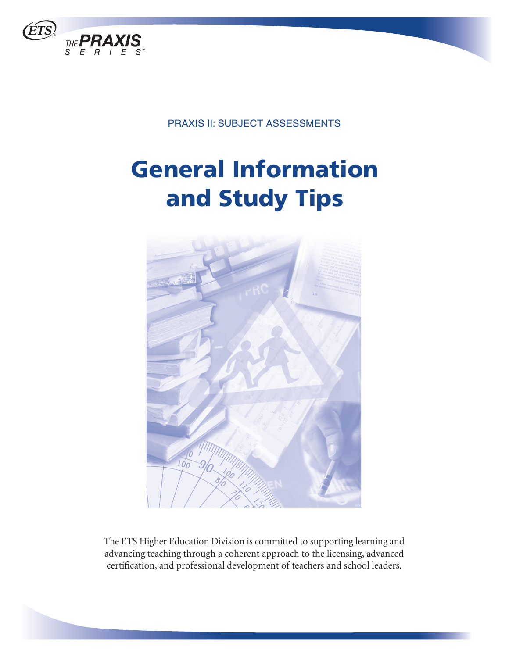

PRAXIS II: SUBJECT ASSESSMENTS

# **General Information and Study Tips**



The ETS Higher Education Division is committed to supporting learning and advancing teaching through a coherent approach to the licensing, advanced certification, and professional development of teachers and school leaders.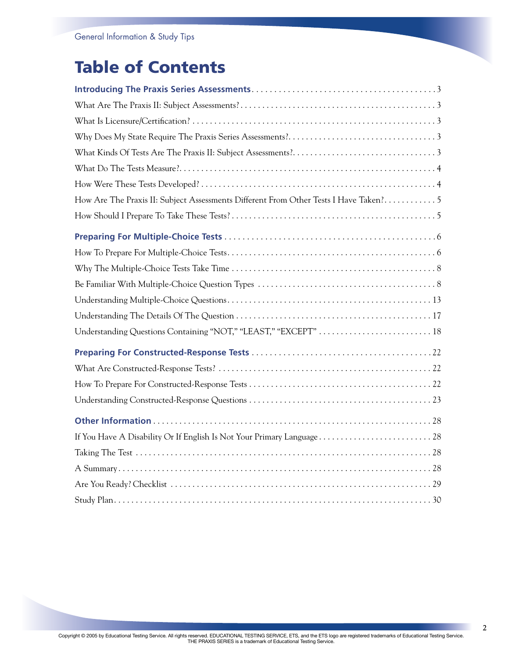## **Table of Contents**

| How Are The Praxis II: Subject Assessments Different From Other Tests I Have Taken? 5 |
|---------------------------------------------------------------------------------------|
|                                                                                       |
|                                                                                       |
|                                                                                       |
|                                                                                       |
|                                                                                       |
|                                                                                       |
|                                                                                       |
| Understanding Questions Containing "NOT," "LEAST," "EXCEPT"  18                       |
|                                                                                       |
|                                                                                       |
|                                                                                       |
|                                                                                       |
|                                                                                       |
|                                                                                       |
|                                                                                       |
|                                                                                       |
|                                                                                       |
|                                                                                       |

2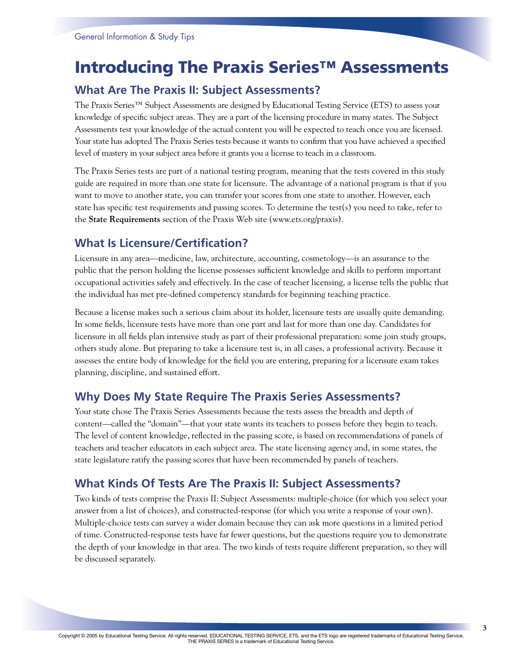## **Introducing The Praxis Series™ Assessments**

## **What Are The Praxis II: Subject Assessments?**

The Praxis Series™ Subject Assessments are designed by Educational Testing Service (ETS) to assess your knowledge of specific subject areas. They are a part of the licensing procedure in many states. The Subject Assessments test your knowledge of the actual content you will be expected to teach once you are licensed. Your state has adopted The Praxis Series tests because it wants to confirm that you have achieved a specified level of mastery in your subject area before it grants you a license to teach in a classroom.

The Praxis Series tests are part of a national testing program, meaning that the tests covered in this study guide are required in more than one state for licensure. The advantage of a national program is that if you want to move to another state, you can transfer your scores from one state to another. However, each state has specific test requirements and passing scores. To determine the test(s) you need to take, refer to the **State Requirements** section of the Praxis Web site (www.ets.org/praxis).

## **What Is Licensure/Certification?**

Licensure in any area—medicine, law, architecture, accounting, cosmetology—is an assurance to the public that the person holding the license possesses sufficient knowledge and skills to perform important occupational activities safely and effectively. In the case of teacher licensing, a license tells the public that the individual has met pre-defined competency standards for beginning teaching practice.

Because a license makes such a serious claim about its holder, licensure tests are usually quite demanding. In some fields, licensure tests have more than one part and last for more than one day. Candidates for licensure in all fields plan intensive study as part of their professional preparation: some join study groups, others study alone. But preparing to take a licensure test is, in all cases, a professional activity. Because it assesses the entire body of knowledge for the field you are entering, preparing for a licensure exam takes planning, discipline, and sustained effort.

## **Why Does My State Require The Praxis Series Assessments?**

Your state chose The Praxis Series Assessments because the tests assess the breadth and depth of content—called the "domain"—that your state wants its teachers to possess before they begin to teach. The level of content knowledge, reflected in the passing score, is based on recommendations of panels of teachers and teacher educators in each subject area. The state licensing agency and, in some states, the state legislature ratify the passing scores that have been recommended by panels of teachers.

## **What Kinds Of Tests Are The Praxis II: Subject Assessments?**

Two kinds of tests comprise the Praxis II: Subject Assessments: multiple-choice (for which you select your answer from a list of choices), and constructed-response (for which you write a response of your own). Multiple-choice tests can survey a wider domain because they can ask more questions in a limited period of time. Constructed-response tests have far fewer questions, but the questions require you to demonstrate the depth of your knowledge in that area. The two kinds of tests require different preparation, so they will be discussed separately.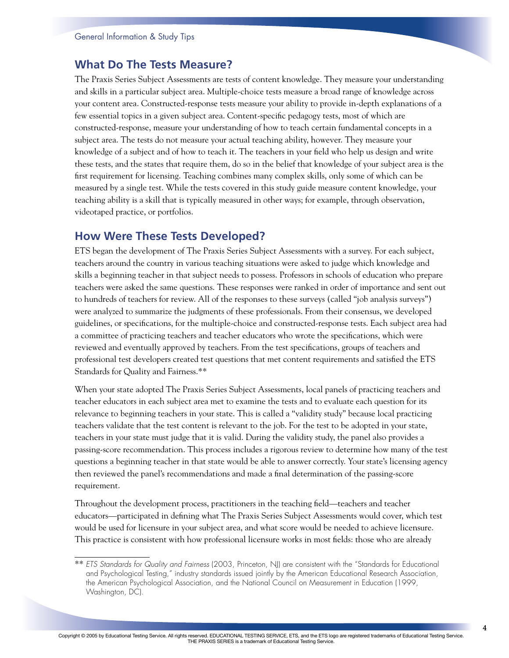## **What Do The Tests Measure?**

The Praxis Series Subject Assessments are tests of content knowledge. They measure your understanding and skills in a particular subject area. Multiple-choice tests measure a broad range of knowledge across your content area. Constructed-response tests measure your ability to provide in-depth explanations of a few essential topics in a given subject area. Content-specific pedagogy tests, most of which are constructed-response, measure your understanding of how to teach certain fundamental concepts in a subject area. The tests do not measure your actual teaching ability, however. They measure your knowledge of a subject and of how to teach it. The teachers in your field who help us design and write these tests, and the states that require them, do so in the belief that knowledge of your subject area is the first requirement for licensing. Teaching combines many complex skills, only some of which can be measured by a single test. While the tests covered in this study guide measure content knowledge, your teaching ability is a skill that is typically measured in other ways; for example, through observation, videotaped practice, or portfolios.

## **How Were These Tests Developed?**

ETS began the development of The Praxis Series Subject Assessments with a survey. For each subject, teachers around the country in various teaching situations were asked to judge which knowledge and skills a beginning teacher in that subject needs to possess. Professors in schools of education who prepare teachers were asked the same questions. These responses were ranked in order of importance and sent out to hundreds of teachers for review. All of the responses to these surveys (called "job analysis surveys") were analyzed to summarize the judgments of these professionals. From their consensus, we developed guidelines, or specifications, for the multiple-choice and constructed-response tests. Each subject area had a committee of practicing teachers and teacher educators who wrote the specifications, which were reviewed and eventually approved by teachers. From the test specifications, groups of teachers and professional test developers created test questions that met content requirements and satisfied the ETS Standards for Quality and Fairness.\*\*

When your state adopted The Praxis Series Subject Assessments, local panels of practicing teachers and teacher educators in each subject area met to examine the tests and to evaluate each question for its relevance to beginning teachers in your state. This is called a "validity study" because local practicing teachers validate that the test content is relevant to the job. For the test to be adopted in your state, teachers in your state must judge that it is valid. During the validity study, the panel also provides a passing-score recommendation. This process includes a rigorous review to determine how many of the test questions a beginning teacher in that state would be able to answer correctly. Your state's licensing agency then reviewed the panel's recommendations and made a final determination of the passing-score requirement.

Throughout the development process, practitioners in the teaching field—teachers and teacher educators—participated in defining what The Praxis Series Subject Assessments would cover, which test would be used for licensure in your subject area, and what score would be needed to achieve licensure. This practice is consistent with how professional licensure works in most fields: those who are already

<sup>\*\*</sup> *ETS Standards for Quality and Fairness* (2003, Princeton, NJ) are consistent with the "Standards for Educational and Psychological Testing," industry standards issued jointly by the American Educational Research Association, the American Psychological Association, and the National Council on Measurement in Education (1999, Washington, DC).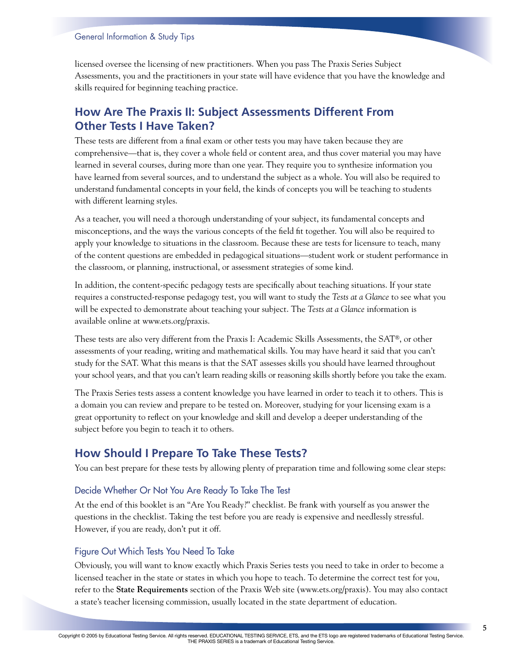licensed oversee the licensing of new practitioners. When you pass The Praxis Series Subject Assessments, you and the practitioners in your state will have evidence that you have the knowledge and skills required for beginning teaching practice.

## **How Are The Praxis II: Subject Assessments Different From Other Tests I Have Taken?**

These tests are different from a final exam or other tests you may have taken because they are comprehensive—that is, they cover a whole field or content area, and thus cover material you may have learned in several courses, during more than one year. They require you to synthesize information you have learned from several sources, and to understand the subject as a whole. You will also be required to understand fundamental concepts in your field, the kinds of concepts you will be teaching to students with different learning styles.

As a teacher, you will need a thorough understanding of your subject, its fundamental concepts and misconceptions, and the ways the various concepts of the field fit together. You will also be required to apply your knowledge to situations in the classroom. Because these are tests for licensure to teach, many of the content questions are embedded in pedagogical situations—student work or student performance in the classroom, or planning, instructional, or assessment strategies of some kind.

In addition, the content-specific pedagogy tests are specifically about teaching situations. If your state requires a constructed-response pedagogy test, you will want to study the *Tests at a Glance* to see what you will be expected to demonstrate about teaching your subject. The *Tests at a Glance* information is available online at www.ets.org/praxis.

These tests are also very different from the Praxis I: Academic Skills Assessments, the SAT®, or other assessments of your reading, writing and mathematical skills. You may have heard it said that you can't study for the SAT. What this means is that the SAT assesses skills you should have learned throughout your school years, and that you can't learn reading skills or reasoning skills shortly before you take the exam.

The Praxis Series tests assess a content knowledge you have learned in order to teach it to others. This is a domain you can review and prepare to be tested on. Moreover, studying for your licensing exam is a great opportunity to reflect on your knowledge and skill and develop a deeper understanding of the subject before you begin to teach it to others.

## **How Should I Prepare To Take These Tests?**

You can best prepare for these tests by allowing plenty of preparation time and following some clear steps:

#### Decide Whether Or Not You Are Ready To Take The Test

At the end of this booklet is an "Are You Ready?" checklist. Be frank with yourself as you answer the questions in the checklist. Taking the test before you are ready is expensive and needlessly stressful. However, if you are ready, don't put it off.

#### Figure Out Which Tests You Need To Take

Obviously, you will want to know exactly which Praxis Series tests you need to take in order to become a licensed teacher in the state or states in which you hope to teach. To determine the correct test for you, refer to the **State Requirements** section of the Praxis Web site (www.ets.org/praxis). You may also contact a state's teacher licensing commission, usually located in the state department of education.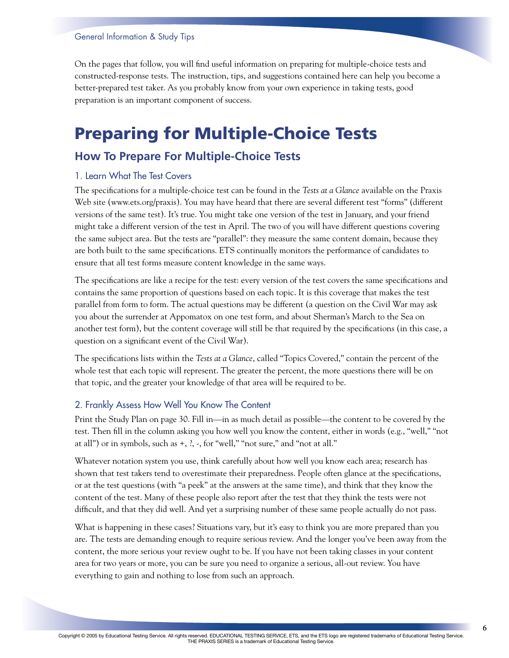On the pages that follow, you will find useful information on preparing for multiple-choice tests and constructed-response tests. The instruction, tips, and suggestions contained here can help you become a better-prepared test taker. As you probably know from your own experience in taking tests, good preparation is an important component of success.

## **Preparing for Multiple-Choice Tests**

## **How To Prepare For Multiple-Choice Tests**

#### 1. Learn What The Test Covers

The specifications for a multiple-choice test can be found in the *Tests at a Glance* available on the Praxis Web site (www.ets.org/praxis). You may have heard that there are several different test "forms" (different versions of the same test). It's true. You might take one version of the test in January, and your friend might take a different version of the test in April. The two of you will have different questions covering the same subject area. But the tests are "parallel": they measure the same content domain, because they are both built to the same specifications. ETS continually monitors the performance of candidates to ensure that all test forms measure content knowledge in the same ways.

The specifications are like a recipe for the test: every version of the test covers the same specifications and contains the same proportion of questions based on each topic. It is this coverage that makes the test parallel from form to form. The actual questions may be different (a question on the Civil War may ask you about the surrender at Appomatox on one test form, and about Sherman's March to the Sea on another test form), but the content coverage will still be that required by the specifications (in this case, a question on a significant event of the Civil War).

The specifications lists within the *Tests at a Glance*, called "Topics Covered," contain the percent of the whole test that each topic will represent. The greater the percent, the more questions there will be on that topic, and the greater your knowledge of that area will be required to be.

#### 2. Frankly Assess How Well You Know The Content

Print the Study Plan on page 30. Fill in—in as much detail as possible—the content to be covered by the test. Then fill in the column asking you how well you know the content, either in words (e.g., "well," "not at all") or in symbols, such as +, ?, -, for "well," "not sure," and "not at all."

Whatever notation system you use, think carefully about how well you know each area; research has shown that test takers tend to overestimate their preparedness. People often glance at the specifications, or at the test questions (with "a peek" at the answers at the same time), and think that they know the content of the test. Many of these people also report after the test that they think the tests were not difficult, and that they did well. And yet a surprising number of these same people actually do not pass.

What is happening in these cases? Situations vary, but it's easy to think you are more prepared than you are. The tests are demanding enough to require serious review. And the longer you've been away from the content, the more serious your review ought to be. If you have not been taking classes in your content area for two years or more, you can be sure you need to organize a serious, all-out review. You have everything to gain and nothing to lose from such an approach.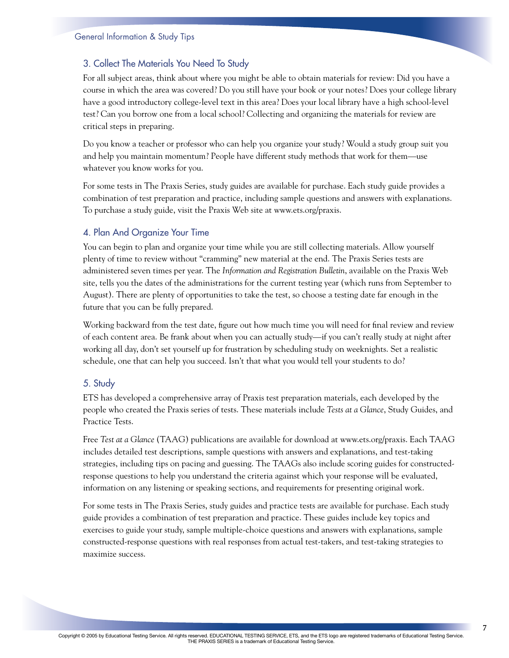#### 3. Collect The Materials You Need To Study

For all subject areas, think about where you might be able to obtain materials for review: Did you have a course in which the area was covered? Do you still have your book or your notes? Does your college library have a good introductory college-level text in this area? Does your local library have a high school-level test? Can you borrow one from a local school? Collecting and organizing the materials for review are critical steps in preparing.

Do you know a teacher or professor who can help you organize your study? Would a study group suit you and help you maintain momentum? People have different study methods that work for them—use whatever you know works for you.

For some tests in The Praxis Series, study guides are available for purchase. Each study guide provides a combination of test preparation and practice, including sample questions and answers with explanations. To purchase a study guide, visit the Praxis Web site at www.ets.org/praxis.

#### 4. Plan And Organize Your Time

You can begin to plan and organize your time while you are still collecting materials. Allow yourself plenty of time to review without "cramming" new material at the end. The Praxis Series tests are administered seven times per year. The *Information and Registration Bulletin*, available on the Praxis Web site, tells you the dates of the administrations for the current testing year (which runs from September to August). There are plenty of opportunities to take the test, so choose a testing date far enough in the future that you can be fully prepared.

Working backward from the test date, figure out how much time you will need for final review and review of each content area. Be frank about when you can actually study—if you can't really study at night after working all day, don't set yourself up for frustration by scheduling study on weeknights. Set a realistic schedule, one that can help you succeed. Isn't that what you would tell your students to do?

#### 5. Study

ETS has developed a comprehensive array of Praxis test preparation materials, each developed by the people who created the Praxis series of tests. These materials include *Tests at a Glance*, Study Guides, and Practice Tests.

Free *Test at a Glance* (TAAG) publications are available for download at www.ets.org/praxis. Each TAAG includes detailed test descriptions, sample questions with answers and explanations, and test-taking strategies, including tips on pacing and guessing. The TAAGs also include scoring guides for constructedresponse questions to help you understand the criteria against which your response will be evaluated, information on any listening or speaking sections, and requirements for presenting original work.

For some tests in The Praxis Series, study guides and practice tests are available for purchase. Each study guide provides a combination of test preparation and practice. These guides include key topics and exercises to guide your study, sample multiple-choice questions and answers with explanations, sample constructed-response questions with real responses from actual test-takers, and test-taking strategies to maximize success.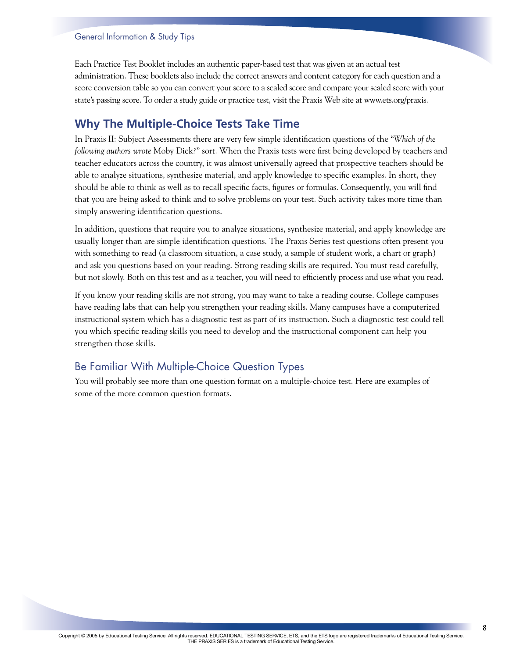Each Practice Test Booklet includes an authentic paper-based test that was given at an actual test administration. These booklets also include the correct answers and content category for each question and a score conversion table so you can convert your score to a scaled score and compare your scaled score with your state's passing score. To order a study guide or practice test, visit the Praxis Web site at www.ets.org/praxis.

## **Why The Multiple-Choice Tests Take Time**

In Praxis II: Subject Assessments there are very few simple identification questions of the "*Which of the following authors wrote* Moby Dick?" sort. When the Praxis tests were first being developed by teachers and teacher educators across the country, it was almost universally agreed that prospective teachers should be able to analyze situations, synthesize material, and apply knowledge to specific examples. In short, they should be able to think as well as to recall specific facts, figures or formulas. Consequently, you will find that you are being asked to think and to solve problems on your test. Such activity takes more time than simply answering identification questions.

In addition, questions that require you to analyze situations, synthesize material, and apply knowledge are usually longer than are simple identification questions. The Praxis Series test questions often present you with something to read (a classroom situation, a case study, a sample of student work, a chart or graph) and ask you questions based on your reading. Strong reading skills are required. You must read carefully, but not slowly. Both on this test and as a teacher, you will need to efficiently process and use what you read.

If you know your reading skills are not strong, you may want to take a reading course. College campuses have reading labs that can help you strengthen your reading skills. Many campuses have a computerized instructional system which has a diagnostic test as part of its instruction. Such a diagnostic test could tell you which specific reading skills you need to develop and the instructional component can help you strengthen those skills.

## Be Familiar With Multiple-Choice Question Types

You will probably see more than one question format on a multiple-choice test. Here are examples of some of the more common question formats.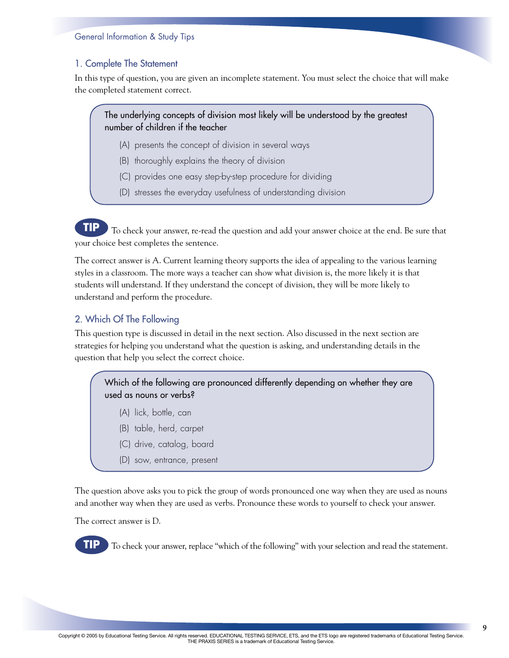#### 1. Complete The Statement

In this type of question, you are given an incomplete statement. You must select the choice that will make the completed statement correct.

#### The underlying concepts of division most likely will be understood by the greatest number of children if the teacher

- (A) presents the concept of division in several ways
- (B) thoroughly explains the theory of division
- (C) provides one easy step-by-step procedure for dividing
- (D) stresses the everyday usefulness of understanding division

 To check your answer, re-read the question and add your answer choice at the end. Be sure that your choice best completes the sentence. **TIP**

The correct answer is A. Current learning theory supports the idea of appealing to the various learning styles in a classroom. The more ways a teacher can show what division is, the more likely it is that students will understand. If they understand the concept of division, they will be more likely to understand and perform the procedure.

#### 2. Which Of The Following

This question type is discussed in detail in the next section. Also discussed in the next section are strategies for helping you understand what the question is asking, and understanding details in the question that help you select the correct choice.

### Which of the following are pronounced differently depending on whether they are used as nouns or verbs?

- (A) lick, bottle, can
- (B) table, herd, carpet
- (C) drive, catalog, board
- (D) sow, entrance, present

The question above asks you to pick the group of words pronounced one way when they are used as nouns and another way when they are used as verbs. Pronounce these words to yourself to check your answer.

The correct answer is D.

To check your answer, replace "which of the following" with your selection and read the statement.

9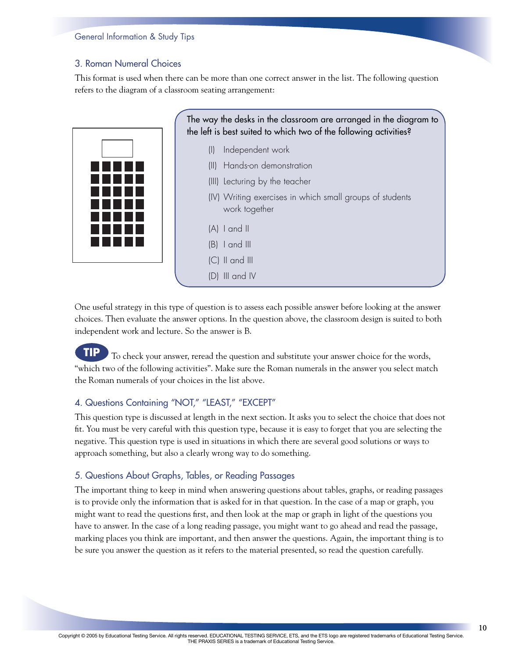#### 3. Roman Numeral Choices

This format is used when there can be more than one correct answer in the list. The following question refers to the diagram of a classroom seating arrangement:



One useful strategy in this type of question is to assess each possible answer before looking at the answer choices. Then evaluate the answer options. In the question above, the classroom design is suited to both independent work and lecture. So the answer is B.

 To check your answer, reread the question and substitute your answer choice for the words, "which two of the following activities". Make sure the Roman numerals in the answer you select match the Roman numerals of your choices in the list above. **TIP**

### 4. Questions Containing "NOT," "LEAST," "EXCEPT"

This question type is discussed at length in the next section. It asks you to select the choice that does not fit. You must be very careful with this question type, because it is easy to forget that you are selecting the negative. This question type is used in situations in which there are several good solutions or ways to approach something, but also a clearly wrong way to do something.

#### 5. Questions About Graphs, Tables, or Reading Passages

The important thing to keep in mind when answering questions about tables, graphs, or reading passages is to provide only the information that is asked for in that question. In the case of a map or graph, you might want to read the questions first, and then look at the map or graph in light of the questions you have to answer. In the case of a long reading passage, you might want to go ahead and read the passage, marking places you think are important, and then answer the questions. Again, the important thing is to be sure you answer the question as it refers to the material presented, so read the question carefully.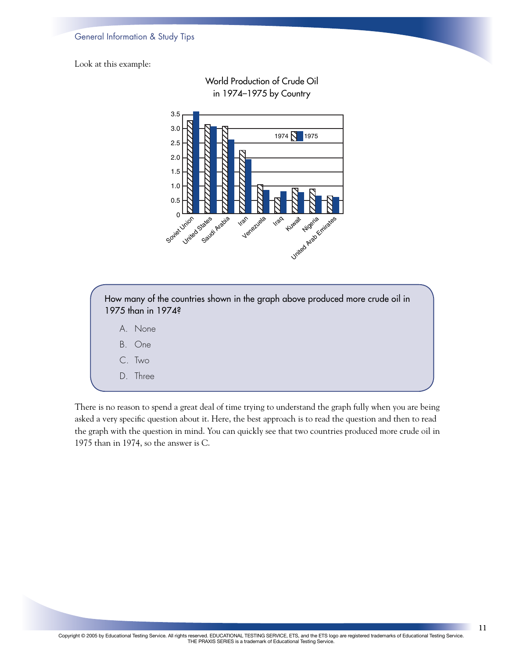Look at this example:



World Production of Crude Oil in 1974–1975 by Country



There is no reason to spend a great deal of time trying to understand the graph fully when you are being asked a very specific question about it. Here, the best approach is to read the question and then to read the graph with the question in mind. You can quickly see that two countries produced more crude oil in 1975 than in 1974, so the answer is C.

11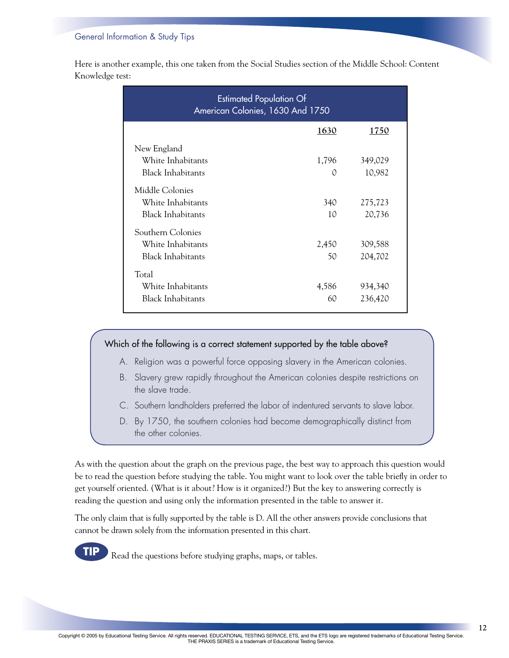Here is another example, this one taken from the Social Studies section of the Middle School: Content Knowledge test:

| <b>Estimated Population Of</b><br>American Colonies, 1630 And 1750 |             |                    |
|--------------------------------------------------------------------|-------------|--------------------|
|                                                                    | 1630        | <u>1750</u>        |
| New England<br>White Inhabitants<br><b>Black Inhabitants</b>       | 1,796<br>0  | 349,029<br>10,982  |
| Middle Colonies<br>White Inhabitants<br><b>Black Inhabitants</b>   | 340<br>10   | 275,723<br>20,736  |
| Southern Colonies<br>White Inhabitants<br><b>Black Inhabitants</b> | 2,450<br>50 | 309,588<br>204,702 |
| Total<br>White Inhabitants<br><b>Black Inhabitants</b>             | 4,586<br>60 | 934,340<br>236,420 |

#### Which of the following is a correct statement supported by the table above?

- A. Religion was a powerful force opposing slavery in the American colonies.
- B. Slavery grew rapidly throughout the American colonies despite restrictions on the slave trade.
- C. Southern landholders preferred the labor of indentured servants to slave labor.
- D. By 1750, the southern colonies had become demographically distinct from the other colonies.

As with the question about the graph on the previous page, the best way to approach this question would be to read the question before studying the table. You might want to look over the table briefly in order to get yourself oriented. (What is it about? How is it organized?) But the key to answering correctly is reading the question and using only the information presented in the table to answer it.

The only claim that is fully supported by the table is D. All the other answers provide conclusions that cannot be drawn solely from the information presented in this chart.



Read the questions before studying graphs, maps, or tables.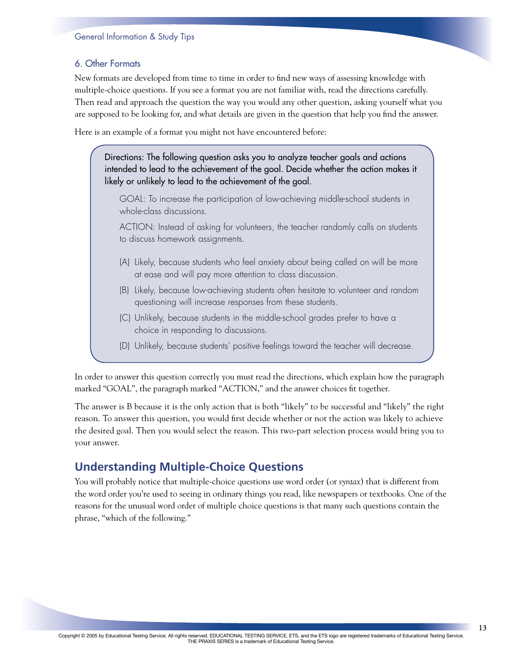#### 6. Other Formats

New formats are developed from time to time in order to find new ways of assessing knowledge with multiple-choice questions. If you see a format you are not familiar with, read the directions carefully. Then read and approach the question the way you would any other question, asking yourself what you are supposed to be looking for, and what details are given in the question that help you find the answer.

Here is an example of a format you might not have encountered before:

Directions: The following question asks you to analyze teacher goals and actions intended to lead to the achievement of the goal. Decide whether the action makes it likely or unlikely to lead to the achievement of the goal.

GOAL: To increase the participation of low-achieving middle-school students in whole-class discussions.

ACTION: Instead of asking for volunteers, the teacher randomly calls on students to discuss homework assignments.

- (A) Likely, because students who feel anxiety about being called on will be more at ease and will pay more attention to class discussion.
- (B) Likely, because low-achieving students often hesitate to volunteer and random questioning will increase responses from these students.
- (C) Unlikely, because students in the middle-school grades prefer to have a choice in responding to discussions.
- (D) Unlikely, because students' positive feelings toward the teacher will decrease.

In order to answer this question correctly you must read the directions, which explain how the paragraph marked "GOAL", the paragraph marked "ACTION," and the answer choices fit together.

The answer is B because it is the only action that is both "likely" to be successful and "likely" the right reason. To answer this question, you would first decide whether or not the action was likely to achieve the desired goal. Then you would select the reason. This two-part selection process would bring you to your answer.

## **Understanding Multiple-Choice Questions**

You will probably notice that multiple-choice questions use word order (or *syntax*) that is different from the word order you're used to seeing in ordinary things you read, like newspapers or textbooks. One of the reasons for the unusual word order of multiple choice questions is that many such questions contain the phrase, "which of the following."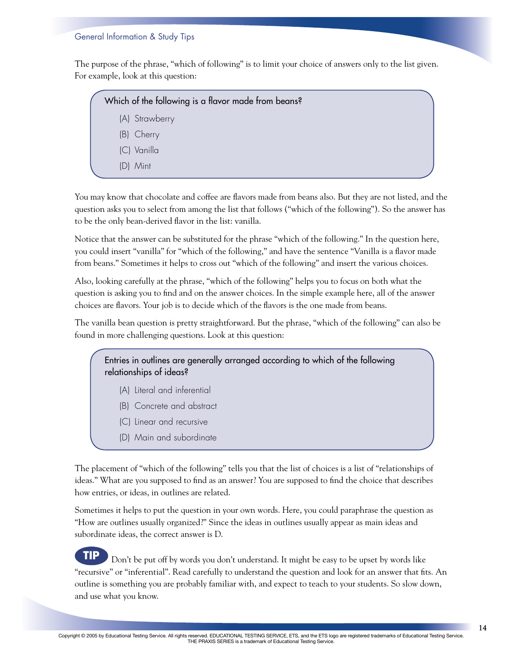The purpose of the phrase, "which of following" is to limit your choice of answers only to the list given. For example, look at this question:

|  | Which of the following is a flavor made from beans? |
|--|-----------------------------------------------------|
|  | (A) Strawberry                                      |
|  | (B) Cherry                                          |
|  | (C) Vanilla                                         |
|  | (D) Mint                                            |

You may know that chocolate and coffee are flavors made from beans also. But they are not listed, and the question asks you to select from among the list that follows ("which of the following"). So the answer has to be the only bean-derived flavor in the list: vanilla.

Notice that the answer can be substituted for the phrase "which of the following." In the question here, you could insert "vanilla" for "which of the following," and have the sentence "Vanilla is a flavor made from beans." Sometimes it helps to cross out "which of the following" and insert the various choices.

Also, looking carefully at the phrase, "which of the following" helps you to focus on both what the question is asking you to find and on the answer choices. In the simple example here, all of the answer choices are flavors. Your job is to decide which of the flavors is the one made from beans.

The vanilla bean question is pretty straightforward. But the phrase, "which of the following" can also be found in more challenging questions. Look at this question:

Entries in outlines are generally arranged according to which of the following relationships of ideas?

- (A) Literal and inferential
- (B) Concrete and abstract
- (C) Linear and recursive
- (D) Main and subordinate

The placement of "which of the following" tells you that the list of choices is a list of "relationships of ideas." What are you supposed to find as an answer? You are supposed to find the choice that describes how entries, or ideas, in outlines are related.

Sometimes it helps to put the question in your own words. Here, you could paraphrase the question as "How are outlines usually organized?" Since the ideas in outlines usually appear as main ideas and subordinate ideas, the correct answer is D.

 Don't be put off by words you don't understand. It might be easy to be upset by words like "recursive" or "inferential". Read carefully to understand the question and look for an answer that fits. An outline is something you are probably familiar with, and expect to teach to your students. So slow down, and use what you know. **TIP**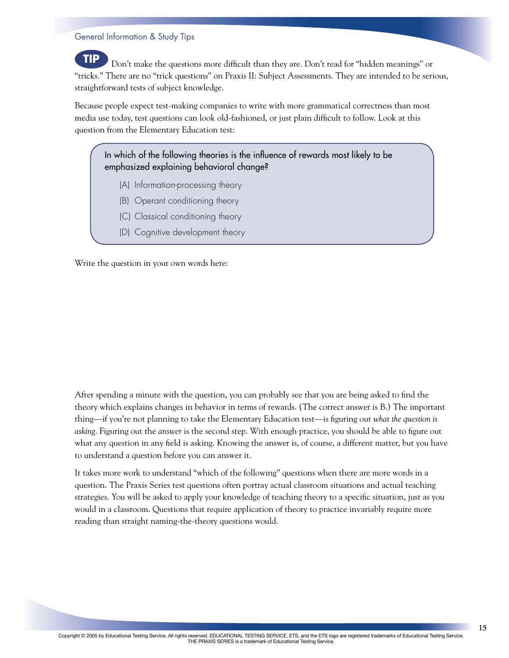Don't make the questions more difficult than they are. Don't read for "hidden meanings" or "tricks." There are no "trick questions" on Praxis II: Subject Assessments. They are intended to be serious, straightforward tests of subject knowledge. **TIP**

Because people expect test-making companies to write with more grammatical correctness than most media use today, test questions can look old-fashioned, or just plain difficult to follow. Look at this question from the Elementary Education test:

#### In which of the following theories is the influence of rewards most likely to be emphasized explaining behavioral change?

- (A) Information-processing theory
- (B) Operant conditioning theory
- (C) Classical conditioning theory
- (D) Cognitive development theory

Write the question in your own words here:

After spending a minute with the question, you can probably see that you are being asked to find the theory which explains changes in behavior in terms of rewards. (The correct answer is B.) The important thing—if you're not planning to take the Elementary Education test—is figuring out what the question is *asking*. Figuring out the *answer* is the second step. With enough practice, you should be able to figure out what any question in any field is asking. Knowing the answer is, of course, a different matter, but you have to understand a question before you can answer it.

It takes more work to understand "which of the following" questions when there are more words in a question. The Praxis Series test questions often portray actual classroom situations and actual teaching strategies. You will be asked to apply your knowledge of teaching theory to a specific situation, just as you would in a classroom. Questions that require application of theory to practice invariably require more reading than straight naming-the-theory questions would.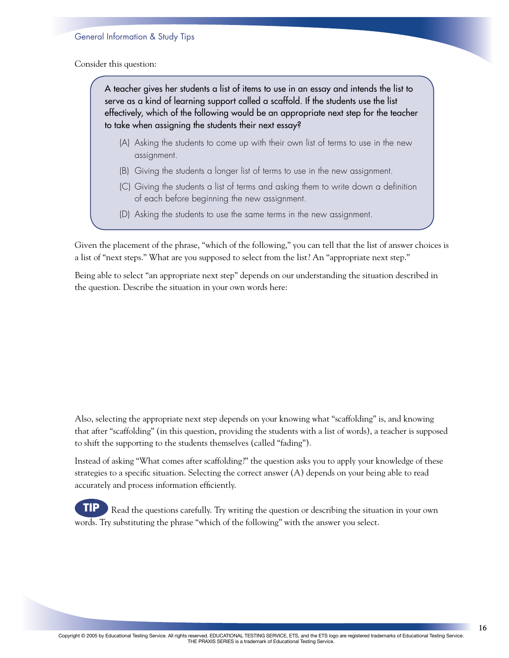Consider this question:

A teacher gives her students a list of items to use in an essay and intends the list to serve as a kind of learning support called a scaffold. If the students use the list effectively, which of the following would be an appropriate next step for the teacher to take when assigning the students their next essay?

- (A) Asking the students to come up with their own list of terms to use in the new assignment.
- (B) Giving the students a longer list of terms to use in the new assignment.
- (C) Giving the students a list of terms and asking them to write down a definition of each before beginning the new assignment.
- (D) Asking the students to use the same terms in the new assignment.

Given the placement of the phrase, "which of the following," you can tell that the list of answer choices is a list of "next steps." What are you supposed to select from the list? An "appropriate next step."

Being able to select "an appropriate next step" depends on our understanding the situation described in the question. Describe the situation in your own words here:

Also, selecting the appropriate next step depends on your knowing what "scaffolding" is, and knowing that after "scaffolding" (in this question, providing the students with a list of words), a teacher is supposed to shift the supporting to the students themselves (called "fading").

Instead of asking "What comes after scaffolding?" the question asks you to apply your knowledge of these strategies to a specific situation. Selecting the correct answer  $(A)$  depends on your being able to read accurately and process information efficiently.

 Read the questions carefully. Try writing the question or describing the situation in your own words. Try substituting the phrase "which of the following" with the answer you select. **TIP**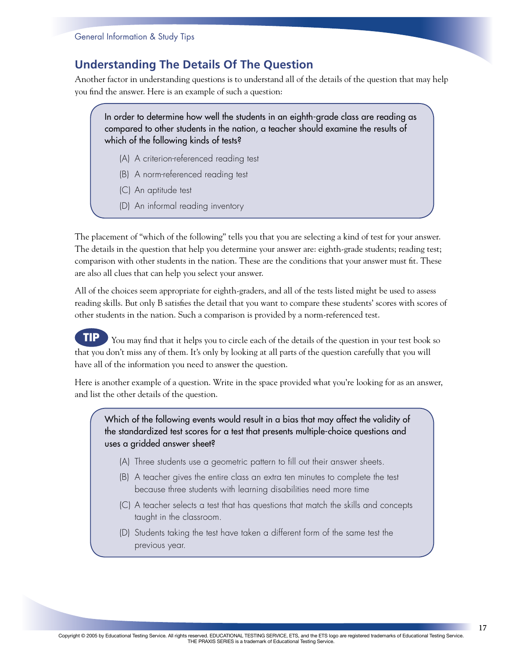## **Understanding The Details Of The Question**

Another factor in understanding questions is to understand all of the details of the question that may help you find the answer. Here is an example of such a question:

## In order to determine how well the students in an eighth-grade class are reading as compared to other students in the nation, a teacher should examine the results of which of the following kinds of tests?

- (A) A criterion-referenced reading test
- (B) A norm-referenced reading test
- (C) An aptitude test
- (D) An informal reading inventory

The placement of "which of the following" tells you that you are selecting a kind of test for your answer. The details in the question that help you determine your answer are: eighth-grade students; reading test; comparison with other students in the nation. These are the conditions that your answer must fit. These are also all clues that can help you select your answer.

All of the choices seem appropriate for eighth-graders, and all of the tests listed might be used to assess reading skills. But only B satisfies the detail that you want to compare these students' scores with scores of other students in the nation. Such a comparison is provided by a norm-referenced test.

You may find that it helps you to circle each of the details of the question in your test book so that you don't miss any of them. It's only by looking at all parts of the question carefully that you will have all of the information you need to answer the question. **TIP**

Here is another example of a question. Write in the space provided what you're looking for as an answer, and list the other details of the question.

Which of the following events would result in a bias that may affect the validity of the standardized test scores for a test that presents multiple-choice questions and uses a gridded answer sheet?

- (A) Three students use a geometric pattern to fill out their answer sheets.
- (B) A teacher gives the entire class an extra ten minutes to complete the test because three students with learning disabilities need more time
- (C) A teacher selects a test that has questions that match the skills and concepts taught in the classroom.
- (D) Students taking the test have taken a different form of the same test the previous year.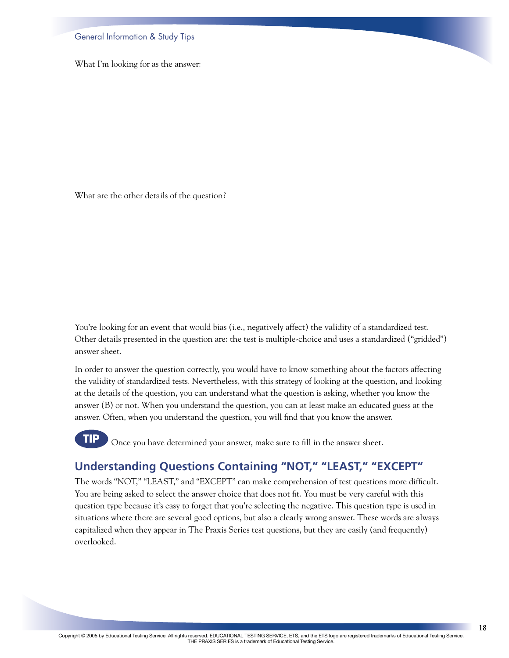What I'm looking for as the answer:

What are the other details of the question?

You're looking for an event that would bias (i.e., negatively affect) the validity of a standardized test. Other details presented in the question are: the test is multiple-choice and uses a standardized ("gridded") answer sheet.

In order to answer the question correctly, you would have to know something about the factors affecting the validity of standardized tests. Nevertheless, with this strategy of looking at the question, and looking at the details of the question, you can understand what the question is asking, whether you know the answer (B) or not. When you understand the question, you can at least make an educated guess at the answer. Often, when you understand the question, you will find that you know the answer.

Once you have determined your answer, make sure to fill in the answer sheet. **TIP**

## **Understanding Questions Containing "NOT," "LEAST," "EXCEPT"**

The words "NOT," "LEAST," and "EXCEPT" can make comprehension of test questions more difficult. You are being asked to select the answer choice that does not fit. You must be very careful with this question type because it's easy to forget that you're selecting the negative. This question type is used in situations where there are several good options, but also a clearly wrong answer. These words are always capitalized when they appear in The Praxis Series test questions, but they are easily (and frequently) overlooked.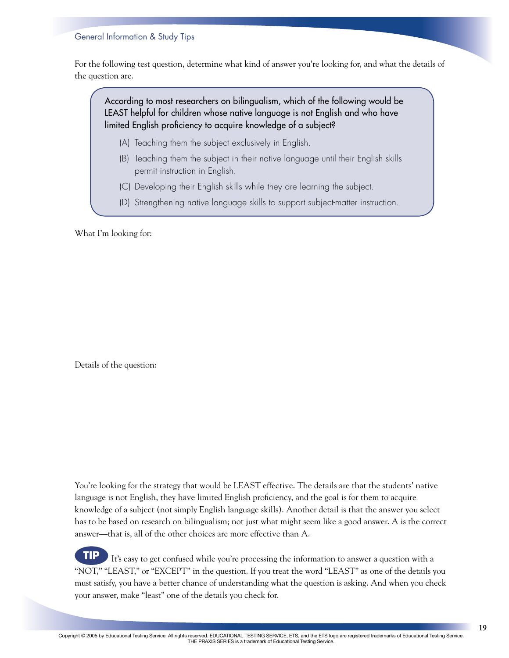For the following test question, determine what kind of answer you're looking for, and what the details of the question are.

According to most researchers on bilingualism, which of the following would be LEAST helpful for children whose native language is not English and who have limited English proficiency to acquire knowledge of a subject?

- (A) Teaching them the subject exclusively in English.
- (B) Teaching them the subject in their native language until their English skills permit instruction in English.
- (C) Developing their English skills while they are learning the subject.
- (D) Strengthening native language skills to support subject-matter instruction.

What I'm looking for:

Details of the question:

You're looking for the strategy that would be LEAST effective. The details are that the students' native language is not English, they have limited English proficiency, and the goal is for them to acquire knowledge of a subject (not simply English language skills). Another detail is that the answer you select has to be based on research on bilingualism; not just what might seem like a good answer. A is the correct answer—that is, all of the other choices are more effective than A.

 It's easy to get confused while you're processing the information to answer a question with a "NOT," "LEAST," or "EXCEPT" in the question. If you treat the word "LEAST" as one of the details you must satisfy, you have a better chance of understanding what the question is asking. And when you check your answer, make "least" one of the details you check for. **TIP**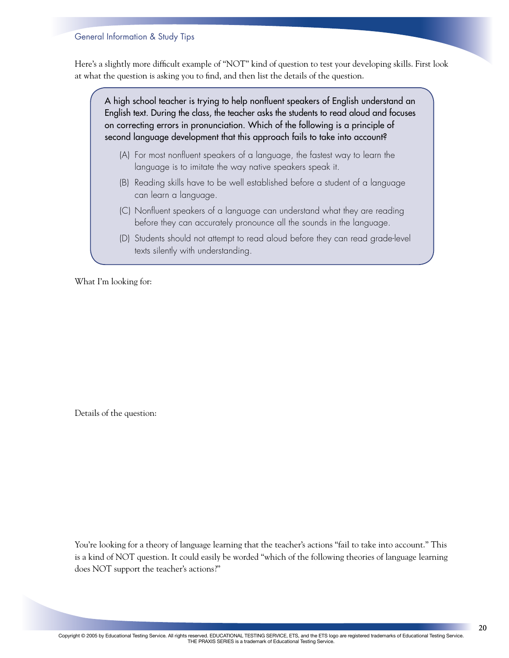Here's a slightly more difficult example of "NOT" kind of question to test your developing skills. First look at what the question is asking you to find, and then list the details of the question.



(D) Students should not attempt to read aloud before they can read grade-level texts silently with understanding.

What I'm looking for:

Details of the question:

You're looking for a theory of language learning that the teacher's actions "fail to take into account." This is a kind of NOT question. It could easily be worded "which of the following theories of language learning does NOT support the teacher's actions?"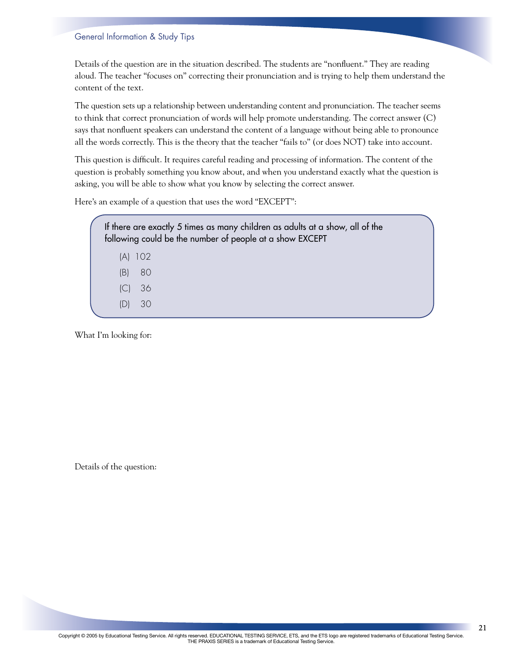Details of the question are in the situation described. The students are "nonfluent." They are reading aloud. The teacher "focuses on" correcting their pronunciation and is trying to help them understand the content of the text.

The question sets up a relationship between understanding content and pronunciation. The teacher seems to think that correct pronunciation of words will help promote understanding. The correct answer (C) says that nonfluent speakers can understand the content of a language without being able to pronounce all the words correctly. This is the theory that the teacher "fails to" (or does NOT) take into account.

This question is difficult. It requires careful reading and processing of information. The content of the question is probably something you know about, and when you understand exactly what the question is asking, you will be able to show what you know by selecting the correct answer.

Here's an example of a question that uses the word "EXCEPT":

|     | If there are exactly 5 times as many children as adults at a show, all of the<br>following could be the number of people at a show EXCEPT |  |
|-----|-------------------------------------------------------------------------------------------------------------------------------------------|--|
|     | (A) 102                                                                                                                                   |  |
| (B) | 80                                                                                                                                        |  |
| IC) | 36                                                                                                                                        |  |
|     | 30                                                                                                                                        |  |

What I'm looking for:

Details of the question: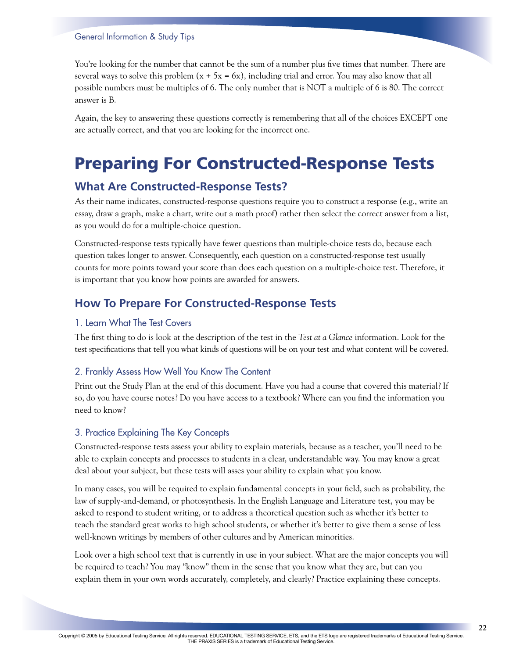You're looking for the number that cannot be the sum of a number plus five times that number. There are several ways to solve this problem  $(x + 5x = 6x)$ , including trial and error. You may also know that all possible numbers must be multiples of 6. The only number that is NOT a multiple of 6 is 80. The correct answer is B.

Again, the key to answering these questions correctly is remembering that all of the choices EXCEPT one are actually correct, and that you are looking for the incorrect one.

## **Preparing For Constructed-Response Tests**

### **What Are Constructed-Response Tests?**

As their name indicates, constructed-response questions require you to construct a response (e.g., write an essay, draw a graph, make a chart, write out a math proof) rather then select the correct answer from a list, as you would do for a multiple-choice question.

Constructed-response tests typically have fewer questions than multiple-choice tests do, because each question takes longer to answer. Consequently, each question on a constructed-response test usually counts for more points toward your score than does each question on a multiple-choice test. Therefore, it is important that you know how points are awarded for answers.

## **How To Prepare For Constructed-Response Tests**

#### 1. Learn What The Test Covers

The first thing to do is look at the description of the test in the *Test at a Glance* information. Look for the test specifications that tell you what kinds of questions will be on your test and what content will be covered.

#### 2. Frankly Assess How Well You Know The Content

Print out the Study Plan at the end of this document. Have you had a course that covered this material? If so, do you have course notes? Do you have access to a textbook? Where can you find the information you need to know?

#### 3. Practice Explaining The Key Concepts

Constructed-response tests assess your ability to explain materials, because as a teacher, you'll need to be able to explain concepts and processes to students in a clear, understandable way. You may know a great deal about your subject, but these tests will asses your ability to explain what you know.

In many cases, you will be required to explain fundamental concepts in your field, such as probability, the law of supply-and-demand, or photosynthesis. In the English Language and Literature test, you may be asked to respond to student writing, or to address a theoretical question such as whether it's better to teach the standard great works to high school students, or whether it's better to give them a sense of less well-known writings by members of other cultures and by American minorities.

Look over a high school text that is currently in use in your subject. What are the major concepts you will be required to teach? You may "know" them in the sense that you know what they are, but can you explain them in your own words accurately, completely, and clearly? Practice explaining these concepts.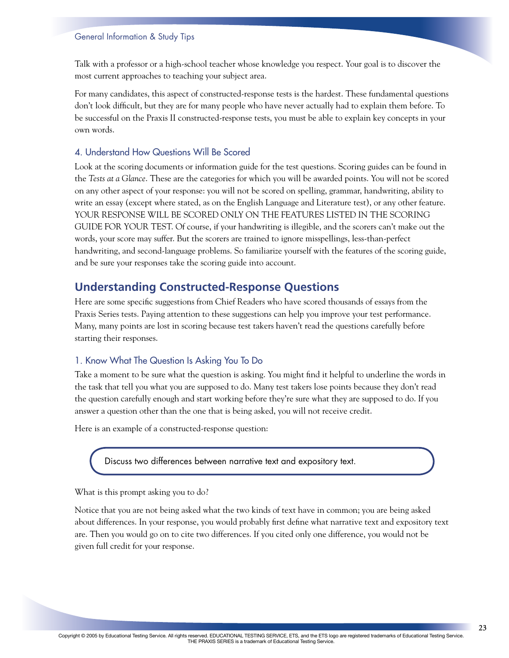Talk with a professor or a high-school teacher whose knowledge you respect. Your goal is to discover the most current approaches to teaching your subject area.

For many candidates, this aspect of constructed-response tests is the hardest. These fundamental questions don't look difficult, but they are for many people who have never actually had to explain them before. To be successful on the Praxis II constructed-response tests, you must be able to explain key concepts in your own words.

#### 4. Understand How Questions Will Be Scored

Look at the scoring documents or information guide for the test questions. Scoring guides can be found in the *Tests at a Glance*. These are the categories for which you will be awarded points. You will not be scored on any other aspect of your response: you will not be scored on spelling, grammar, handwriting, ability to write an essay (except where stated, as on the English Language and Literature test), or any other feature. YOUR RESPONSE WILL BE SCORED ONLY ON THE FEATURES LISTED IN THE SCORING GUIDE FOR YOUR TEST. Of course, if your handwriting is illegible, and the scorers can't make out the words, your score may suffer. But the scorers are trained to ignore misspellings, less-than-perfect handwriting, and second-language problems. So familiarize yourself with the features of the scoring guide, and be sure your responses take the scoring guide into account.

## **Understanding Constructed-Response Questions**

Here are some specific suggestions from Chief Readers who have scored thousands of essays from the Praxis Series tests. Paying attention to these suggestions can help you improve your test performance. Many, many points are lost in scoring because test takers haven't read the questions carefully before starting their responses.

### 1. Know What The Question Is Asking You To Do

Take a moment to be sure what the question is asking. You might find it helpful to underline the words in the task that tell you what you are supposed to do. Many test takers lose points because they don't read the question carefully enough and start working before they're sure what they are supposed to do. If you answer a question other than the one that is being asked, you will not receive credit.

Here is an example of a constructed-response question:

Discuss two differences between narrative text and expository text.

What is this prompt asking you to do?

Notice that you are not being asked what the two kinds of text have in common; you are being asked about differences. In your response, you would probably first define what narrative text and expository text are. Then you would go on to cite two differences. If you cited only one difference, you would not be given full credit for your response.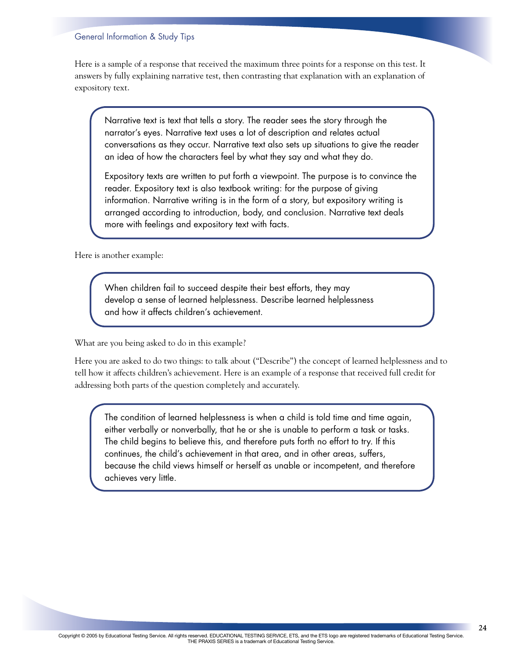Here is a sample of a response that received the maximum three points for a response on this test. It answers by fully explaining narrative test, then contrasting that explanation with an explanation of expository text.

Narrative text is text that tells a story. The reader sees the story through the narrator's eyes. Narrative text uses a lot of description and relates actual conversations as they occur. Narrative text also sets up situations to give the reader an idea of how the characters feel by what they say and what they do.

Expository texts are written to put forth a viewpoint. The purpose is to convince the reader. Expository text is also textbook writing: for the purpose of giving information. Narrative writing is in the form of a story, but expository writing is arranged according to introduction, body, and conclusion. Narrative text deals more with feelings and expository text with facts.

Here is another example:

When children fail to succeed despite their best efforts, they may develop a sense of learned helplessness. Describe learned helplessness and how it affects children's achievement.

What are you being asked to do in this example?

Here you are asked to do two things: to talk about ("Describe") the concept of learned helplessness and to tell how it affects children's achievement. Here is an example of a response that received full credit for addressing both parts of the question completely and accurately.

The condition of learned helplessness is when a child is told time and time again, either verbally or nonverbally, that he or she is unable to perform a task or tasks. The child begins to believe this, and therefore puts forth no effort to try. If this continues, the child's achievement in that area, and in other areas, suffers, because the child views himself or herself as unable or incompetent, and therefore achieves very little.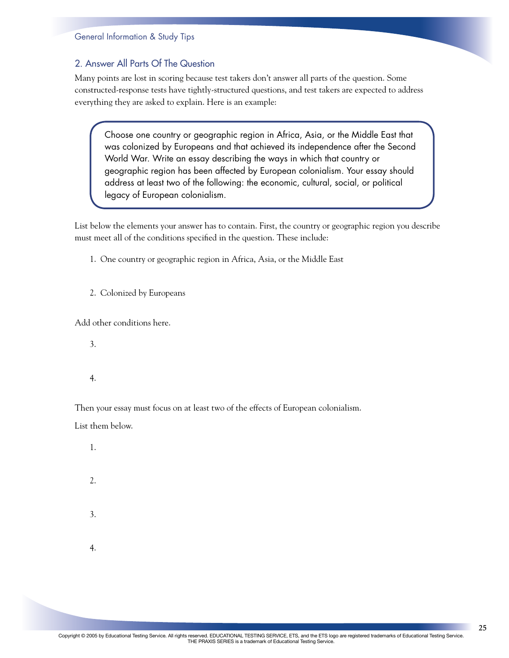#### 2. Answer All Parts Of The Question

Many points are lost in scoring because test takers don't answer all parts of the question. Some constructed-response tests have tightly-structured questions, and test takers are expected to address everything they are asked to explain. Here is an example:

Choose one country or geographic region in Africa, Asia, or the Middle East that was colonized by Europeans and that achieved its independence after the Second World War. Write an essay describing the ways in which that country or geographic region has been affected by European colonialism. Your essay should address at least two of the following: the economic, cultural, social, or political legacy of European colonialism.

List below the elements your answer has to contain. First, the country or geographic region you describe must meet all of the conditions specified in the question. These include:

- 1. One country or geographic region in Africa, Asia, or the Middle East
- 2. Colonized by Europeans

Add other conditions here.

- 3.
- 
- 4.

Then your essay must focus on at least two of the effects of European colonialism.

List them below.

1. 2. 3. 4.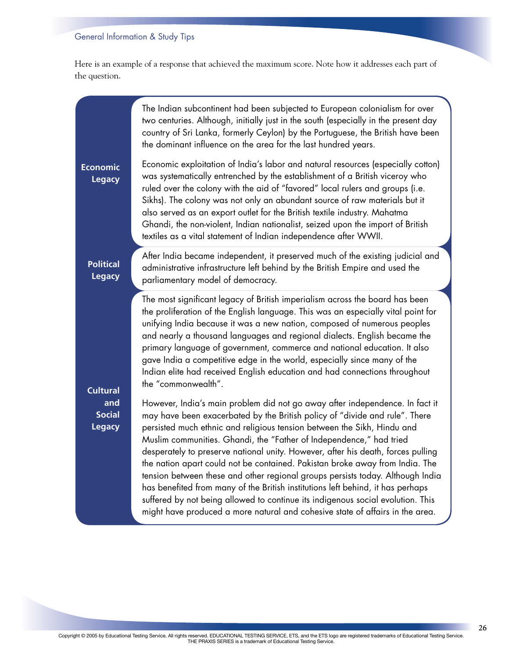Here is an example of a response that achieved the maximum score. Note how it addresses each part of the question.

|                                       | The Indian subcontinent had been subjected to European colonialism for over<br>two centuries. Although, initially just in the south (especially in the present day<br>country of Sri Lanka, formerly Ceylon) by the Portuguese, the British have been<br>the dominant influence on the area for the last hundred years.                                                                                                                                                                                                                                                                                                                                                                                                                                                                                                    |
|---------------------------------------|----------------------------------------------------------------------------------------------------------------------------------------------------------------------------------------------------------------------------------------------------------------------------------------------------------------------------------------------------------------------------------------------------------------------------------------------------------------------------------------------------------------------------------------------------------------------------------------------------------------------------------------------------------------------------------------------------------------------------------------------------------------------------------------------------------------------------|
| <b>Economic</b><br><b>Legacy</b>      | Economic exploitation of India's labor and natural resources (especially cotton)<br>was systematically entrenched by the establishment of a British viceroy who<br>ruled over the colony with the aid of "favored" local rulers and groups (i.e.<br>Sikhs). The colony was not only an abundant source of raw materials but it<br>also served as an export outlet for the British textile industry. Mahatma<br>Ghandi, the non-violent, Indian nationalist, seized upon the import of British<br>textiles as a vital statement of Indian independence after WWII.                                                                                                                                                                                                                                                          |
| <b>Political</b><br><b>Legacy</b>     | After India became independent, it preserved much of the existing judicial and<br>administrative infrastructure left behind by the British Empire and used the<br>parliamentary model of democracy.                                                                                                                                                                                                                                                                                                                                                                                                                                                                                                                                                                                                                        |
| <b>Cultural</b>                       | The most significant legacy of British imperialism across the board has been<br>the proliferation of the English language. This was an especially vital point for<br>unifying India because it was a new nation, composed of numerous peoples<br>and nearly a thousand languages and regional dialects. English became the<br>primary language of government, commerce and national education. It also<br>gave India a competitive edge in the world, especially since many of the<br>Indian elite had received English education and had connections throughout<br>the "commonwealth".                                                                                                                                                                                                                                    |
| and<br><b>Social</b><br><b>Legacy</b> | However, India's main problem did not go away after independence. In fact it<br>may have been exacerbated by the British policy of "divide and rule". There<br>persisted much ethnic and religious tension between the Sikh, Hindu and<br>Muslim communities. Ghandi, the "Father of Independence," had tried<br>desperately to preserve national unity. However, after his death, forces pulling<br>the nation apart could not be contained. Pakistan broke away from India. The<br>tension between these and other regional groups persists today. Although India<br>has benefited from many of the British institutions left behind, it has perhaps<br>suffered by not being allowed to continue its indigenous social evolution. This<br>might have produced a more natural and cohesive state of affairs in the area. |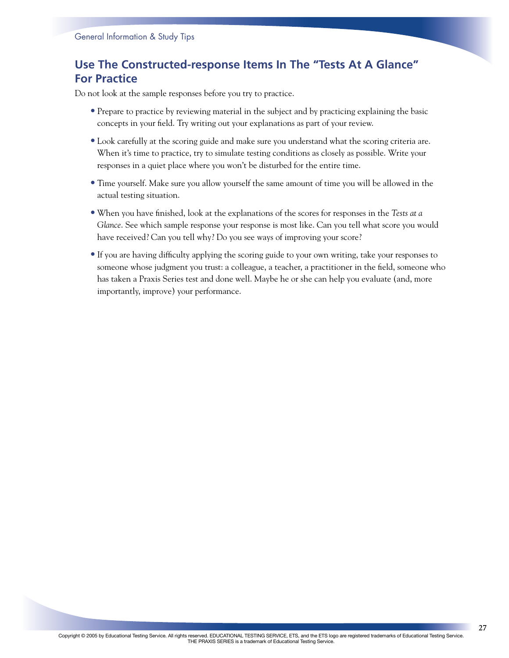## **Use The Constructed-response Items In The "Tests At A Glance" For Practice**

Do not look at the sample responses before you try to practice.

- Prepare to practice by reviewing material in the subject and by practicing explaining the basic concepts in your field. Try writing out your explanations as part of your review.
- Look carefully at the scoring guide and make sure you understand what the scoring criteria are. When it's time to practice, try to simulate testing conditions as closely as possible. Write your responses in a quiet place where you won't be disturbed for the entire time.
- Time yourself. Make sure you allow yourself the same amount of time you will be allowed in the actual testing situation.
- When you have finished, look at the explanations of the scores for responses in the *Tests at a Glance*. See which sample response your response is most like. Can you tell what score you would have received? Can you tell why? Do you see ways of improving your score?
- If you are having difficulty applying the scoring guide to your own writing, take your responses to someone whose judgment you trust: a colleague, a teacher, a practitioner in the field, someone who has taken a Praxis Series test and done well. Maybe he or she can help you evaluate (and, more importantly, improve) your performance.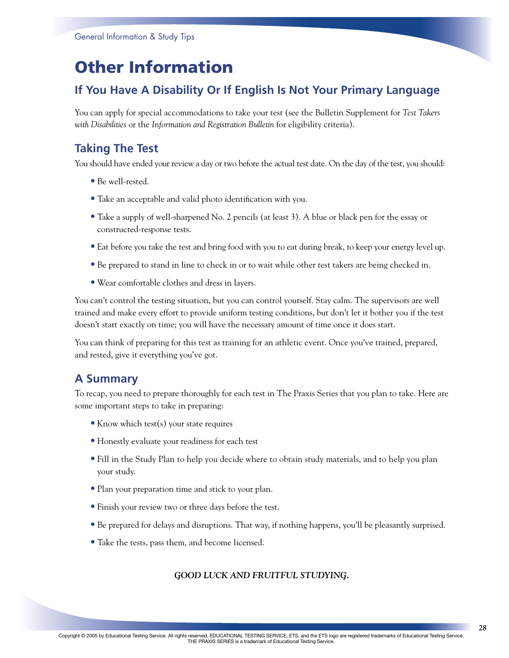## **Other Information**

## **If You Have A Disability Or If English Is Not Your Primary Language**

You can apply for special accommodations to take your test (see the Bulletin Supplement for *Test Takers with Disabilities* or the *Information and Registration Bulletin* for eligibility criteria).

## **Taking The Test**

You should have ended your review a day or two before the actual test date. On the day of the test, you should:

- Be well-rested.
- Take an acceptable and valid photo identification with you.
- Take a supply of well-sharpened No. 2 pencils (at least 3). A blue or black pen for the essay or constructed-response tests.
- Eat before you take the test and bring food with you to eat during break, to keep your energy level up.
- Be prepared to stand in line to check in or to wait while other test takers are being checked in.
- Wear comfortable clothes and dress in layers.

You can't control the testing situation, but you can control yourself. Stay calm. The supervisors are well trained and make every effort to provide uniform testing conditions, but don't let it bother you if the test doesn't start exactly on time; you will have the necessary amount of time once it does start.

You can think of preparing for this test as training for an athletic event. Once you've trained, prepared, and rested, give it everything you've got.

## **A Summary**

To recap, you need to prepare thoroughly for each test in The Praxis Series that you plan to take. Here are some important steps to take in preparing:

- Know which test(s) your state requires
- Honestly evaluate your readiness for each test
- Fill in the Study Plan to help you decide where to obtain study materials, and to help you plan your study.
- Plan your preparation time and stick to your plan.
- Finish your review two or three days before the test.
- Be prepared for delays and disruptions. That way, if nothing happens, you'll be pleasantly surprised.
- Take the tests, pass them, and become licensed.

#### *GOOD LUCK AND FRUITFUL STUDYING***.**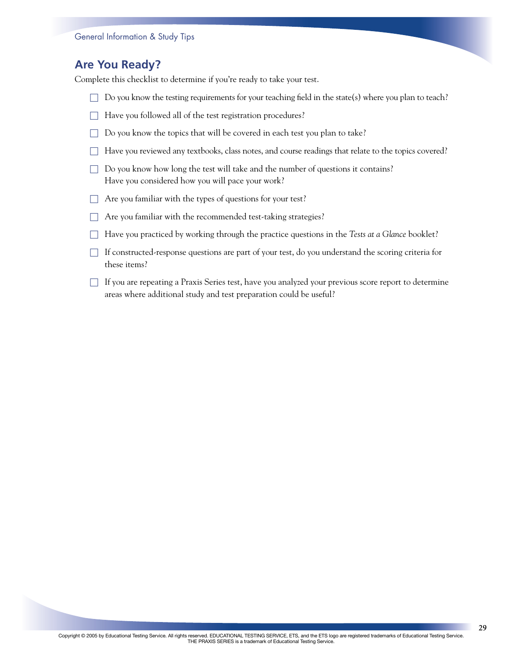## **Are You Ready?**

Complete this checklist to determine if you're ready to take your test.

- $\Box$  Do you know the testing requirements for your teaching field in the state(s) where you plan to teach?
- □ Have you followed all of the test registration procedures?
- $\Box$  Do you know the topics that will be covered in each test you plan to take?
- □ Have you reviewed any textbooks, class notes, and course readings that relate to the topics covered?
- □ Do you know how long the test will take and the number of questions it contains? Have you considered how you will pace your work?
- $\Box$  Are you familiar with the types of questions for your test?
- $\Box$  Are you familiar with the recommended test-taking strategies?
- $\Box$  Have you practiced by working through the practice questions in the *Tests at a Glance* booklet?
- □ If constructed-response questions are part of your test, do you understand the scoring criteria for these items?
- □ If you are repeating a Praxis Series test, have you analyzed your previous score report to determine areas where additional study and test preparation could be useful?